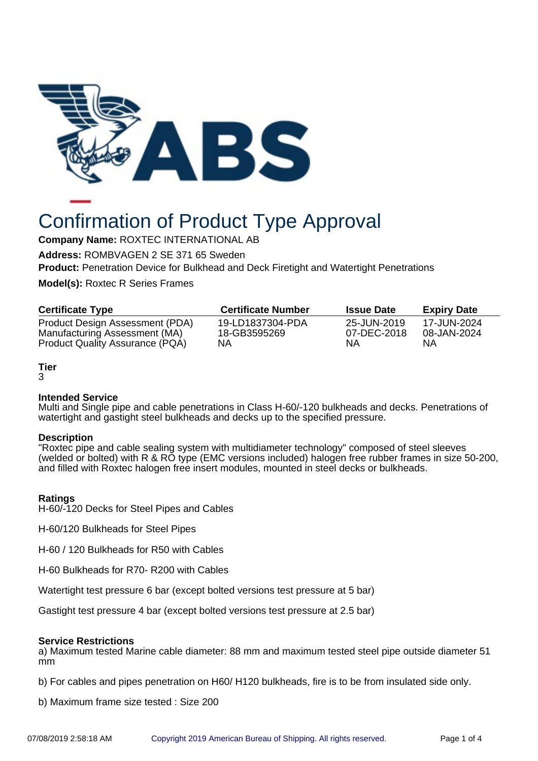

# Confirmation of Product Type Approval

**Company Name:** ROXTEC INTERNATIONAL AB

**Address:** ROMBVAGEN 2 SE 371 65 Sweden

**Product:** Penetration Device for Bulkhead and Deck Firetight and Watertight Penetrations

**Model(s):** Roxtec R Series Frames

| <b>Certificate Type</b>         | <b>Certificate Number</b> | <b>Issue Date</b> | <b>Expiry Date</b> |
|---------------------------------|---------------------------|-------------------|--------------------|
| Product Design Assessment (PDA) | 19-LD1837304-PDA          | 25-JUN-2019       | 17-JUN-2024        |
| Manufacturing Assessment (MA)   | 18-GB3595269              | 07-DEC-2018       | 08-JAN-2024        |
| Product Quality Assurance (PQA) | ΝA                        | ΝA                | NΑ                 |

# **Tier**

3

## **Intended Service**

Multi and Single pipe and cable penetrations in Class H-60/-120 bulkheads and decks. Penetrations of watertight and gastight steel bulkheads and decks up to the specified pressure.

### **Description**

"Roxtec pipe and cable sealing system with multidiameter technology" composed of steel sleeves (welded or bolted) with R & RO type (EMC versions included) halogen free rubber frames in size 50-200, and filled with Roxtec halogen free insert modules, mounted in steel decks or bulkheads.

## **Ratings**

H-60/-120 Decks for Steel Pipes and Cables

H-60/120 Bulkheads for Steel Pipes

H-60 / 120 Bulkheads for R50 with Cables

H-60 Bulkheads for R70- R200 with Cables

Watertight test pressure 6 bar (except bolted versions test pressure at 5 bar)

Gastight test pressure 4 bar (except bolted versions test pressure at 2.5 bar)

## **Service Restrictions**

a) Maximum tested Marine cable diameter: 88 mm and maximum tested steel pipe outside diameter 51 mm

b) For cables and pipes penetration on H60/ H120 bulkheads, fire is to be from insulated side only.

b) Maximum frame size tested : Size 200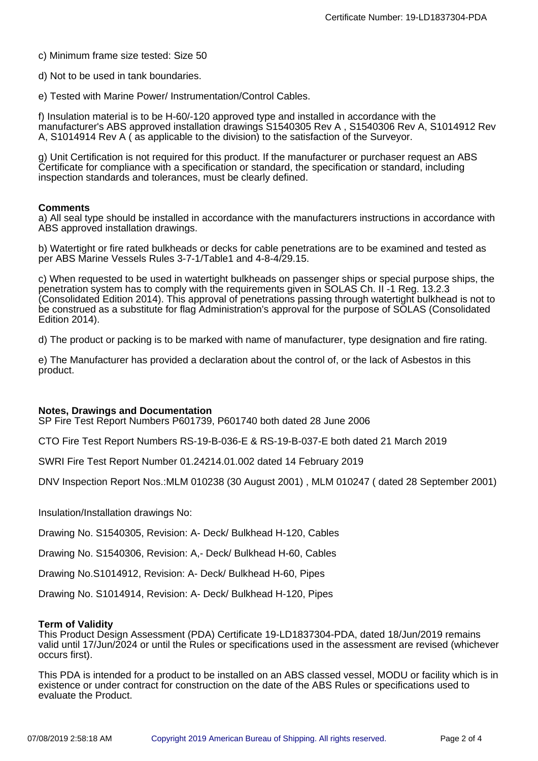c) Minimum frame size tested: Size 50

d) Not to be used in tank boundaries.

e) Tested with Marine Power/ Instrumentation/Control Cables.

f) Insulation material is to be H-60/-120 approved type and installed in accordance with the manufacturer's ABS approved installation drawings S1540305 Rev A , S1540306 Rev A, S1014912 Rev A, S1014914 Rev A ( as applicable to the division) to the satisfaction of the Surveyor.

g) Unit Certification is not required for this product. If the manufacturer or purchaser request an ABS Certificate for compliance with a specification or standard, the specification or standard, including inspection standards and tolerances, must be clearly defined.

#### **Comments**

a) All seal type should be installed in accordance with the manufacturers instructions in accordance with ABS approved installation drawings.

b) Watertight or fire rated bulkheads or decks for cable penetrations are to be examined and tested as per ABS Marine Vessels Rules 3-7-1/Table1 and 4-8-4/29.15.

c) When requested to be used in watertight bulkheads on passenger ships or special purpose ships, the penetration system has to comply with the requirements given in SOLAS Ch. II -1 Reg. 13.2.3 (Consolidated Edition 2014). This approval of penetrations passing through watertight bulkhead is not to be construed as a substitute for flag Administration's approval for the purpose of SOLAS (Consolidated Edition 2014).

d) The product or packing is to be marked with name of manufacturer, type designation and fire rating.

e) The Manufacturer has provided a declaration about the control of, or the lack of Asbestos in this product.

#### **Notes, Drawings and Documentation**

SP Fire Test Report Numbers P601739, P601740 both dated 28 June 2006

CTO Fire Test Report Numbers RS-19-B-036-E & RS-19-B-037-E both dated 21 March 2019

SWRI Fire Test Report Number 01.24214.01.002 dated 14 February 2019

DNV Inspection Report Nos.:MLM 010238 (30 August 2001) , MLM 010247 ( dated 28 September 2001)

Insulation/Installation drawings No:

Drawing No. S1540305, Revision: A- Deck/ Bulkhead H-120, Cables

Drawing No. S1540306, Revision: A,- Deck/ Bulkhead H-60, Cables

Drawing No.S1014912, Revision: A- Deck/ Bulkhead H-60, Pipes

Drawing No. S1014914, Revision: A- Deck/ Bulkhead H-120, Pipes

### **Term of Validity**

This Product Design Assessment (PDA) Certificate 19-LD1837304-PDA, dated 18/Jun/2019 remains valid until 17/Jun/2024 or until the Rules or specifications used in the assessment are revised (whichever occurs first).

This PDA is intended for a product to be installed on an ABS classed vessel, MODU or facility which is in existence or under contract for construction on the date of the ABS Rules or specifications used to evaluate the Product.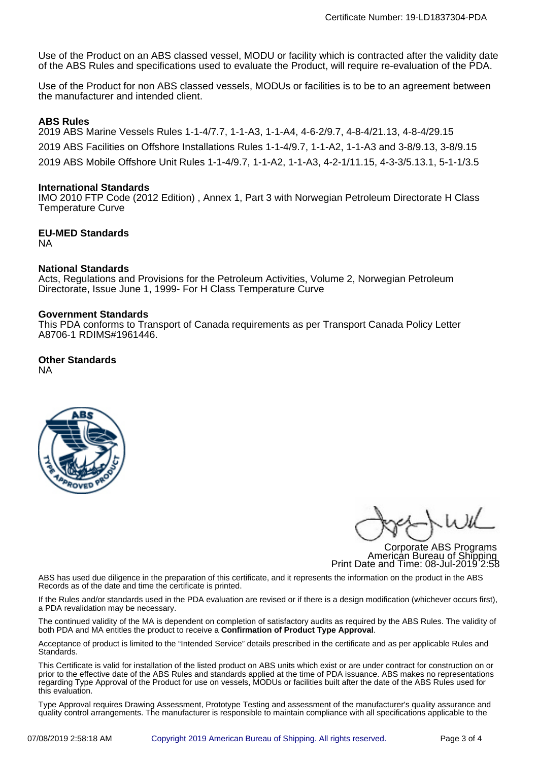Use of the Product on an ABS classed vessel, MODU or facility which is contracted after the validity date of the ABS Rules and specifications used to evaluate the Product, will require re-evaluation of the PDA.

Use of the Product for non ABS classed vessels, MODUs or facilities is to be to an agreement between the manufacturer and intended client.

# **ABS Rules**

2019 ABS Marine Vessels Rules 1-1-4/7.7, 1-1-A3, 1-1-A4, 4-6-2/9.7, 4-8-4/21.13, 4-8-4/29.15 2019 ABS Facilities on Offshore Installations Rules 1-1-4/9.7, 1-1-A2, 1-1-A3 and 3-8/9.13, 3-8/9.15 2019 ABS Mobile Offshore Unit Rules 1-1-4/9.7, 1-1-A2, 1-1-A3, 4-2-1/11.15, 4-3-3/5.13.1, 5-1-1/3.5

## **International Standards**

IMO 2010 FTP Code (2012 Edition) , Annex 1, Part 3 with Norwegian Petroleum Directorate H Class Temperature Curve

#### **EU-MED Standards** NA

## **National Standards**

Acts, Regulations and Provisions for the Petroleum Activities, Volume 2, Norwegian Petroleum Directorate, Issue June 1, 1999- For H Class Temperature Curve

### **Government Standards**

This PDA conforms to Transport of Canada requirements as per Transport Canada Policy Letter A8706-1 RDIMS#1961446.

#### **Other Standards** NA



Corporate ABS Programs American Bureau of Shipping Print Date and Time: 08-Jul-2019 2:58

ABS has used due diligence in the preparation of this certificate, and it represents the information on the product in the ABS Records as of the date and time the certificate is printed.

If the Rules and/or standards used in the PDA evaluation are revised or if there is a design modification (whichever occurs first), a PDA revalidation may be necessary.

The continued validity of the MA is dependent on completion of satisfactory audits as required by the ABS Rules. The validity of both PDA and MA entitles the product to receive a **Confirmation of Product Type Approval**.

Acceptance of product is limited to the "Intended Service" details prescribed in the certificate and as per applicable Rules and Standards.

This Certificate is valid for installation of the listed product on ABS units which exist or are under contract for construction on or prior to the effective date of the ABS Rules and standards applied at the time of PDA issuance. ABS makes no representations regarding Type Approval of the Product for use on vessels, MODUs or facilities built after the date of the ABS Rules used for this evaluation.

Type Approval requires Drawing Assessment, Prototype Testing and assessment of the manufacturer's quality assurance and quality control arrangements. The manufacturer is responsible to maintain compliance with all specifications applicable to the